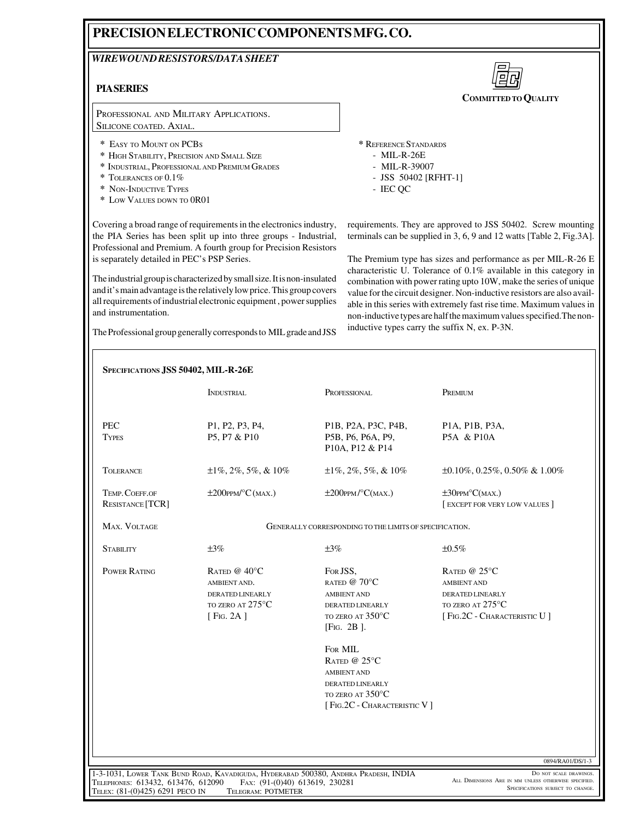## **PRECISION ELECTRONIC COMPONENTS MFG. CO.**

## *WIREWOUND RESISTORS/DATA SHEET*

## **PIA SERIES**

PROFESSIONAL AND MILITARY APPLICATIONS. SILICONE COATED. AXIAL.

- **\*** EASY TO MOUNT ON PCBS
- **\*** HIGH STABILITY, PRECISION AND SMALL SIZE
- **\*** INDUSTRIAL, PROFESSIONAL AND PREMIUM GRADES
- **\*** TOLERANCES OF 0.1%
- **\*** NON-INDUCTIVE TYPES
- **\*** LOW VALUES DOWN TO 0R01



**COMMITTED TO QUALITY**

**\*** REFERENCE STANDARDS

- MIL-R-26E
- MIL-R-39007
- JSS 50402 [RFHT-1]
- IEC QC

Covering a broad range of requirements in the electronics industry, the PIA Series has been split up into three groups - Industrial, Professional and Premium. A fourth group for Precision Resistors is separately detailed in PEC's PSP Series.

The industrial group is characterized by small size. It is non-insulated and it's main advantage is the relatively low price. This group covers all requirements of industrial electronic equipment , power supplies and instrumentation.

The Professional group generally corresponds to MIL grade and JSS

requirements. They are approved to JSS 50402. Screw mounting terminals can be supplied in 3, 6, 9 and 12 watts [Table 2, Fig.3A].

The Premium type has sizes and performance as per MIL-R-26 E characteristic U. Tolerance of 0.1% available in this category in combination with power rating upto 10W, make the series of unique value for the circuit designer. Non-inductive resistors are also available in this series with extremely fast rise time. Maximum values in non-inductive types are half the maximum values specified.The noninductive types carry the suffix N, ex. P-3N.

|                                                                       | SPECIFICATIONS JSS 50402, MIL-R-26E                                                                                                         |                                                                                                                                           |                                                                                                                       |  |  |  |  |  |  |  |
|-----------------------------------------------------------------------|---------------------------------------------------------------------------------------------------------------------------------------------|-------------------------------------------------------------------------------------------------------------------------------------------|-----------------------------------------------------------------------------------------------------------------------|--|--|--|--|--|--|--|
|                                                                       | <b>INDUSTRIAL</b>                                                                                                                           | PROFESSIONAL                                                                                                                              | PREMIUM                                                                                                               |  |  |  |  |  |  |  |
| <b>PEC</b><br><b>TYPES</b>                                            | P1, P2, P3, P4,<br>P5, P7 & P10                                                                                                             | P1B, P2A, P3C, P4B,<br>P5B, P6, P6A, P9,<br>P10A, P12 & P14                                                                               | P1A, P1B, P3A,<br>P5A & P10A                                                                                          |  |  |  |  |  |  |  |
| <b>TOLERANCE</b>                                                      | $\pm 1\%, 2\%, 5\%, \& 10\%$                                                                                                                | $\pm 1\%, 2\%, 5\%, \& 10\%$                                                                                                              | $\pm 0.10\%$ , 0.25%, 0.50% & 1.00%                                                                                   |  |  |  |  |  |  |  |
| TEMP. COEFF.OF<br>RESISTANCE [TCR]                                    | $\pm 200$ PPM/°C(MAX.)                                                                                                                      | $\pm 200$ PPM/°C(MAX.)                                                                                                                    | $\pm 30$ PPM°C(MAX.)<br>[ EXCEPT FOR VERY LOW VALUES ]                                                                |  |  |  |  |  |  |  |
| MAX. VOLTAGE                                                          | GENERALLY CORRESPONDING TO THE LIMITS OF SPECIFICATION.                                                                                     |                                                                                                                                           |                                                                                                                       |  |  |  |  |  |  |  |
| <b>STABILITY</b>                                                      | $\pm 3\%$                                                                                                                                   | $\pm 3\%$                                                                                                                                 | ±0.5%                                                                                                                 |  |  |  |  |  |  |  |
| <b>POWER RATING</b>                                                   | RATED @ $40^{\circ}$ C<br>AMBIENT AND.<br>DERATED LINEARLY<br>TO ZERO AT 275°C<br>[Fig. 2A]                                                 | FOR JSS,<br>RATED @ 70°C<br><b>AMBIENT AND</b><br>DERATED LINEARLY<br>TO ZERO AT 350°C<br>[Fig. 2B].<br>FOR MIL<br>RATED @ $25^{\circ}$ C | RATED @ $25^{\circ}$ C<br><b>AMBIENT AND</b><br>DERATED LINEARLY<br>TO ZERO AT 275°C<br>[ FIG.2C - CHARACTERISTIC U ] |  |  |  |  |  |  |  |
|                                                                       |                                                                                                                                             | <b>AMBIENT AND</b><br><b>DERATED LINEARLY</b><br>TO ZERO AT 350°C<br>[ FIG.2C - CHARACTERISTIC V ]                                        |                                                                                                                       |  |  |  |  |  |  |  |
|                                                                       |                                                                                                                                             |                                                                                                                                           | 0894/RA01/DS/1-3                                                                                                      |  |  |  |  |  |  |  |
| TELEPHONES: 613432, 613476, 612090<br>TELEX: (81-(0)425) 6291 PECO IN | 1-3-1031, LOWER TANK BUND ROAD, KAVADIGUDA, HYDERABAD 500380, ANDHRA PRADESH, INDIA<br>Fax: (91-(0)40) 613619, 230281<br>TELEGRAM: POTMETER |                                                                                                                                           | DO NOT SCALE DRAWINGS.<br>ALL DIMENSIONS ARE IN MM UNLESS OTHERWISE SPECIFIED.<br>SPECIFICATIONS SUBJECT TO CHANGE.   |  |  |  |  |  |  |  |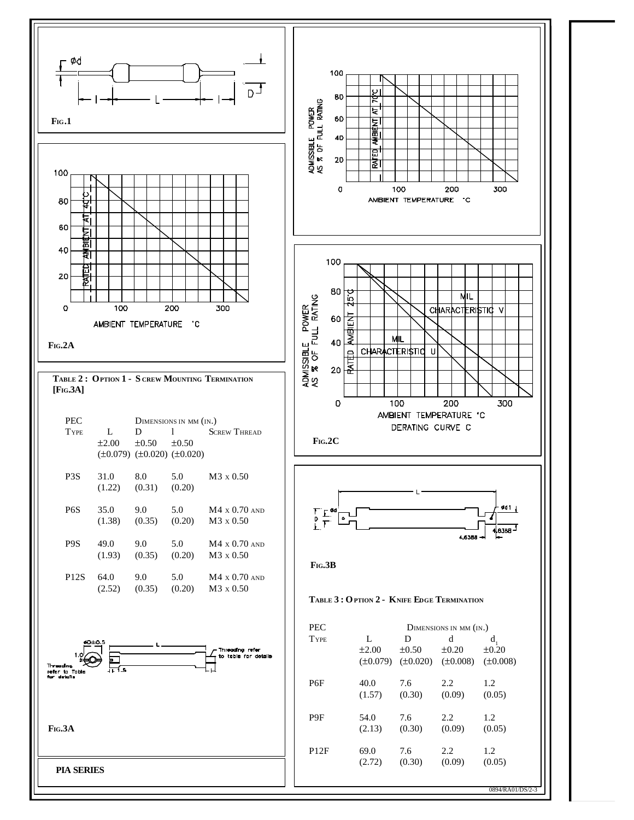